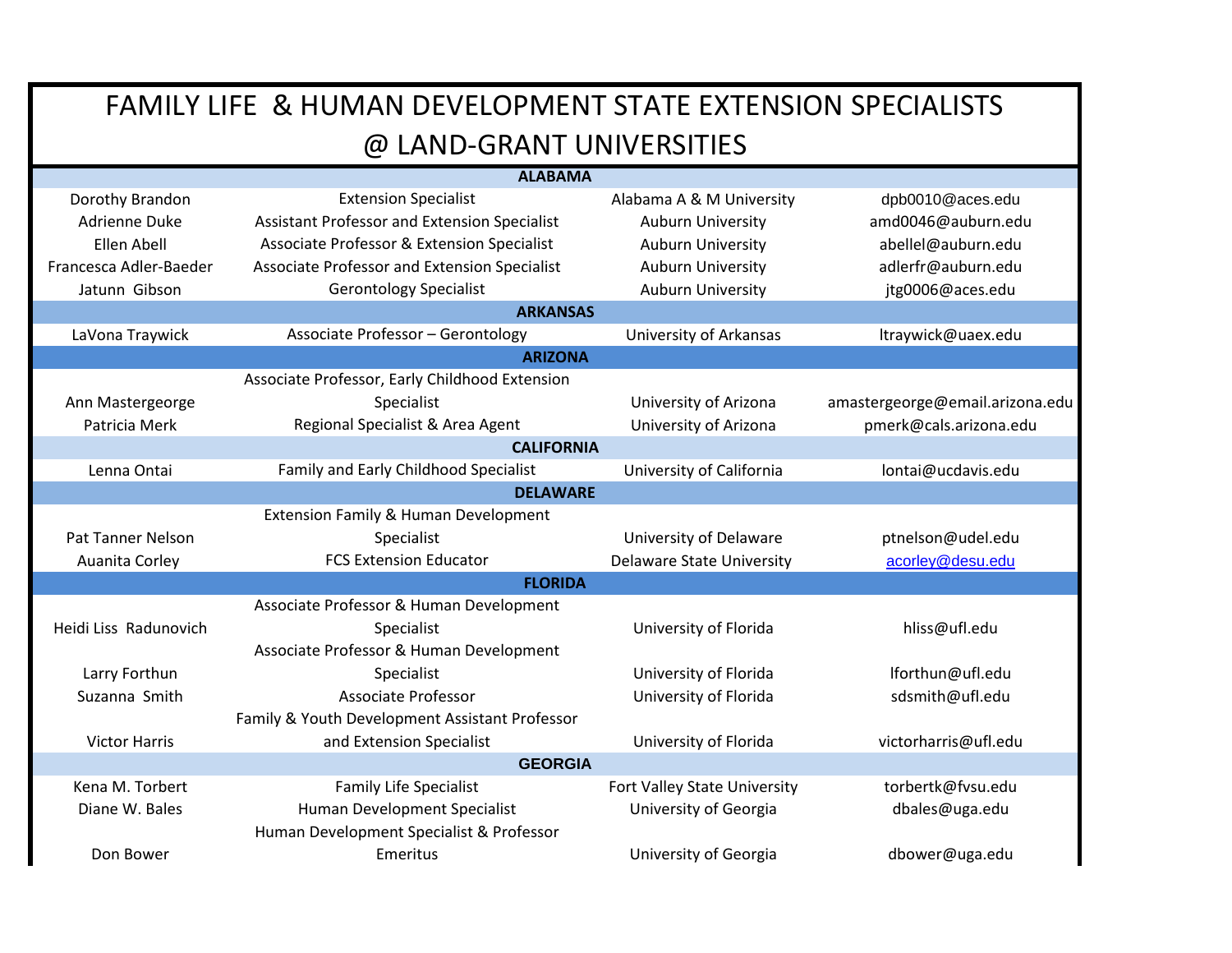| <b>ALABAMA</b>         |                                                |                                  |                                 |  |
|------------------------|------------------------------------------------|----------------------------------|---------------------------------|--|
| Dorothy Brandon        | <b>Extension Specialist</b>                    | Alabama A & M University         | dpb0010@aces.edu                |  |
| Adrienne Duke          | Assistant Professor and Extension Specialist   | <b>Auburn University</b>         | amd0046@auburn.edu              |  |
| Ellen Abell            | Associate Professor & Extension Specialist     | <b>Auburn University</b>         | abellel@auburn.edu              |  |
| Francesca Adler-Baeder | Associate Professor and Extension Specialist   | <b>Auburn University</b>         | adlerfr@auburn.edu              |  |
| Jatunn Gibson          | <b>Gerontology Specialist</b>                  | <b>Auburn University</b>         | jtg0006@aces.edu                |  |
|                        | <b>ARKANSAS</b>                                |                                  |                                 |  |
| LaVona Traywick        | <b>Associate Professor - Gerontology</b>       | University of Arkansas           | Itraywick@uaex.edu              |  |
|                        | <b>ARIZONA</b>                                 |                                  |                                 |  |
|                        | Associate Professor, Early Childhood Extension |                                  |                                 |  |
| Ann Mastergeorge       | Specialist                                     | University of Arizona            | amastergeorge@email.arizona.edu |  |
| Patricia Merk          | Regional Specialist & Area Agent               | University of Arizona            | pmerk@cals.arizona.edu          |  |
| <b>CALIFORNIA</b>      |                                                |                                  |                                 |  |
| Lenna Ontai            | Family and Early Childhood Specialist          | University of California         | lontai@ucdavis.edu              |  |
|                        | <b>DELAWARE</b>                                |                                  |                                 |  |
|                        | Extension Family & Human Development           |                                  |                                 |  |
| Pat Tanner Nelson      | Specialist                                     | University of Delaware           | ptnelson@udel.edu               |  |
| Auanita Corley         | <b>FCS Extension Educator</b>                  | <b>Delaware State University</b> | acorley@desu.edu                |  |
|                        | <b>FLORIDA</b>                                 |                                  |                                 |  |
|                        | Associate Professor & Human Development        |                                  |                                 |  |
| Heidi Liss Radunovich  | Specialist                                     | University of Florida            | hliss@ufl.edu                   |  |
|                        | Associate Professor & Human Development        |                                  |                                 |  |
| Larry Forthun          | Specialist                                     | University of Florida            | lforthun@ufl.edu                |  |
| Suzanna Smith          | Associate Professor                            | University of Florida            | sdsmith@ufl.edu                 |  |
|                        | Family & Youth Development Assistant Professor |                                  |                                 |  |
| <b>Victor Harris</b>   | and Extension Specialist                       | University of Florida            | victorharris@ufl.edu            |  |
| <b>GEORGIA</b>         |                                                |                                  |                                 |  |
| Kena M. Torbert        | <b>Family Life Specialist</b>                  | Fort Valley State University     | torbertk@fvsu.edu               |  |
| Diane W. Bales         | Human Development Specialist                   | University of Georgia            | dbales@uga.edu                  |  |
|                        | Human Development Specialist & Professor       |                                  |                                 |  |
| Don Bower              | Emeritus                                       | University of Georgia            | dbower@uga.edu                  |  |
|                        |                                                |                                  |                                 |  |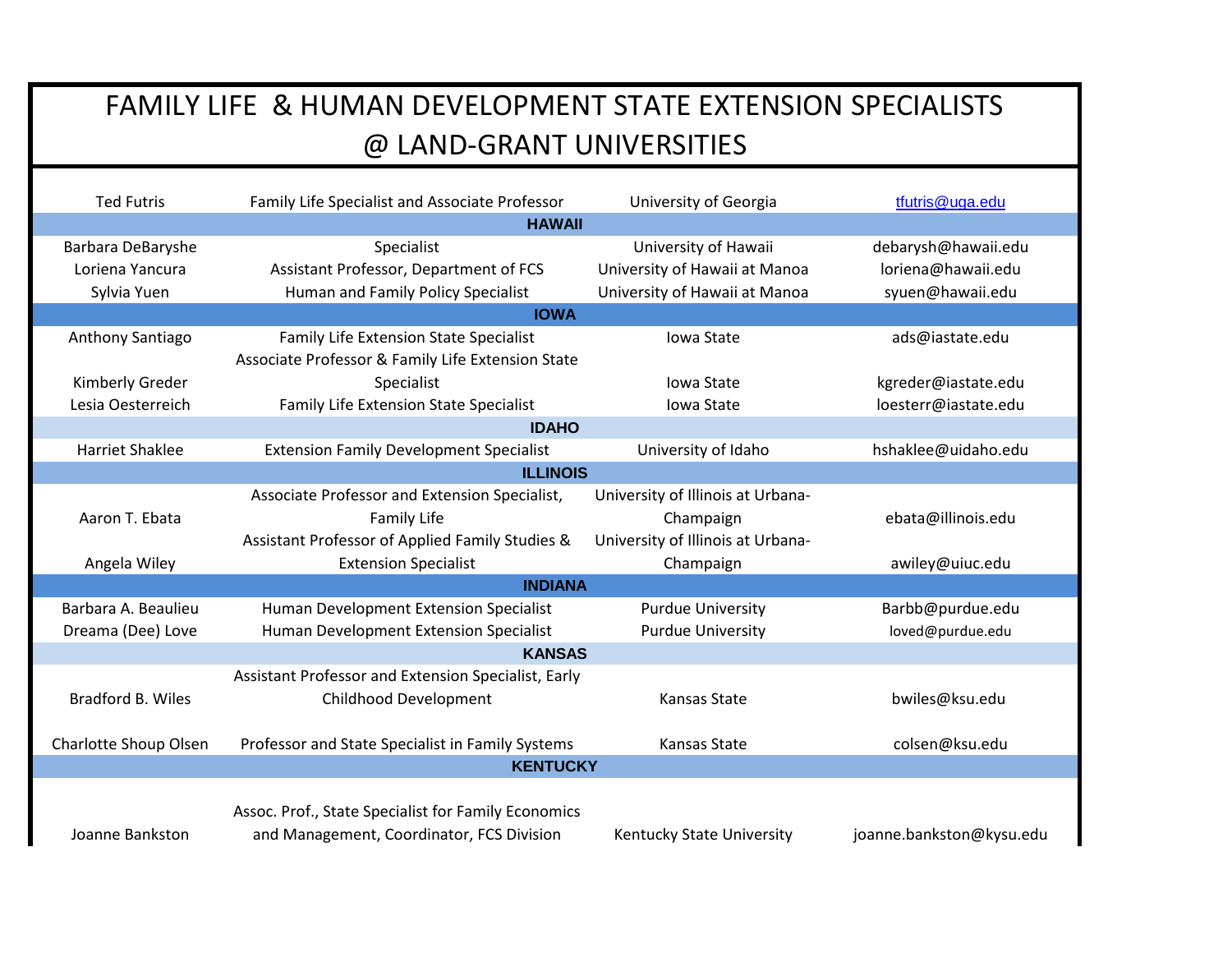| <b>Ted Futris</b>        | Family Life Specialist and Associate Professor      | University of Georgia             | tfutris@uga.edu          |  |
|--------------------------|-----------------------------------------------------|-----------------------------------|--------------------------|--|
|                          | <b>HAWAII</b>                                       |                                   |                          |  |
| Barbara DeBaryshe        | Specialist                                          | University of Hawaii              | debarysh@hawaii.edu      |  |
| Loriena Yancura          | Assistant Professor, Department of FCS              | University of Hawaii at Manoa     | loriena@hawaii.edu       |  |
| Sylvia Yuen              | Human and Family Policy Specialist                  | University of Hawaii at Manoa     | syuen@hawaii.edu         |  |
|                          | <b>IOWA</b>                                         |                                   |                          |  |
| Anthony Santiago         | <b>Family Life Extension State Specialist</b>       | <b>Iowa State</b>                 | ads@iastate.edu          |  |
|                          | Associate Professor & Family Life Extension State   |                                   |                          |  |
| Kimberly Greder          | Specialist                                          | <b>Iowa State</b>                 | kgreder@iastate.edu      |  |
| Lesia Oesterreich        | Family Life Extension State Specialist              | Iowa State                        | loesterr@iastate.edu     |  |
|                          | <b>IDAHO</b>                                        |                                   |                          |  |
| <b>Harriet Shaklee</b>   | <b>Extension Family Development Specialist</b>      | University of Idaho               | hshaklee@uidaho.edu      |  |
|                          | <b>ILLINOIS</b>                                     |                                   |                          |  |
|                          | Associate Professor and Extension Specialist,       | University of Illinois at Urbana- |                          |  |
| Aaron T. Ebata           | <b>Family Life</b>                                  | Champaign                         | ebata@illinois.edu       |  |
|                          | Assistant Professor of Applied Family Studies &     | University of Illinois at Urbana- |                          |  |
| Angela Wiley             | <b>Extension Specialist</b>                         | Champaign                         | awiley@uiuc.edu          |  |
| <b>INDIANA</b>           |                                                     |                                   |                          |  |
| Barbara A. Beaulieu      | Human Development Extension Specialist              | <b>Purdue University</b>          | Barbb@purdue.edu         |  |
| Dreama (Dee) Love        | Human Development Extension Specialist              | <b>Purdue University</b>          | loved@purdue.edu         |  |
| <b>KANSAS</b>            |                                                     |                                   |                          |  |
|                          | Assistant Professor and Extension Specialist, Early |                                   |                          |  |
| <b>Bradford B. Wiles</b> | Childhood Development                               | Kansas State                      | bwiles@ksu.edu           |  |
|                          |                                                     |                                   |                          |  |
| Charlotte Shoup Olsen    | Professor and State Specialist in Family Systems    | Kansas State                      | colsen@ksu.edu           |  |
|                          | <b>KENTUCKY</b>                                     |                                   |                          |  |
|                          |                                                     |                                   |                          |  |
|                          | Assoc. Prof., State Specialist for Family Economics |                                   |                          |  |
| Joanne Bankston          | and Management, Coordinator, FCS Division           | Kentucky State University         | joanne.bankston@kysu.edu |  |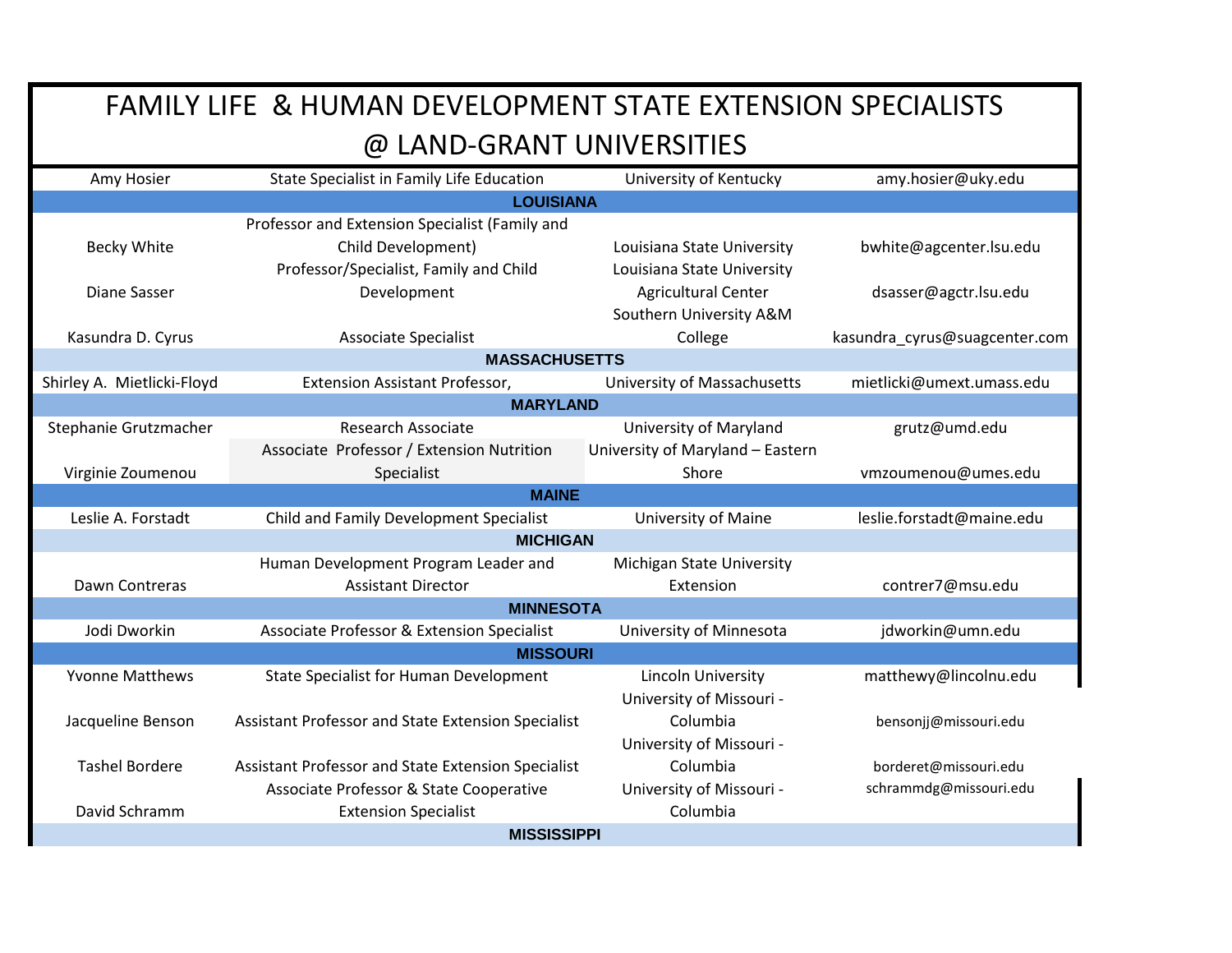| Amy Hosier                 | State Specialist in Family Life Education          | University of Kentucky           | amy.hosier@uky.edu            |  |
|----------------------------|----------------------------------------------------|----------------------------------|-------------------------------|--|
|                            | <b>LOUISIANA</b>                                   |                                  |                               |  |
|                            | Professor and Extension Specialist (Family and     |                                  |                               |  |
| Becky White                | Child Development)                                 | Louisiana State University       | bwhite@agcenter.lsu.edu       |  |
|                            | Professor/Specialist, Family and Child             | Louisiana State University       |                               |  |
| Diane Sasser               | Development                                        | <b>Agricultural Center</b>       | dsasser@agctr.lsu.edu         |  |
|                            |                                                    | Southern University A&M          |                               |  |
| Kasundra D. Cyrus          | <b>Associate Specialist</b>                        | College                          | kasundra_cyrus@suagcenter.com |  |
|                            | <b>MASSACHUSETTS</b>                               |                                  |                               |  |
| Shirley A. Mietlicki-Floyd | <b>Extension Assistant Professor,</b>              | University of Massachusetts      | mietlicki@umext.umass.edu     |  |
|                            | <b>MARYLAND</b>                                    |                                  |                               |  |
| Stephanie Grutzmacher      | Research Associate                                 | University of Maryland           | grutz@umd.edu                 |  |
|                            | Associate Professor / Extension Nutrition          | University of Maryland - Eastern |                               |  |
| Virginie Zoumenou          | Specialist                                         | Shore                            | vmzoumenou@umes.edu           |  |
|                            | <b>MAINE</b>                                       |                                  |                               |  |
| Leslie A. Forstadt         | Child and Family Development Specialist            | University of Maine              | leslie.forstadt@maine.edu     |  |
| <b>MICHIGAN</b>            |                                                    |                                  |                               |  |
|                            | Human Development Program Leader and               | Michigan State University        |                               |  |
| Dawn Contreras             | <b>Assistant Director</b>                          | Extension                        | contrer7@msu.edu              |  |
| <b>MINNESOTA</b>           |                                                    |                                  |                               |  |
| Jodi Dworkin               | Associate Professor & Extension Specialist         | University of Minnesota          | jdworkin@umn.edu              |  |
| <b>MISSOURI</b>            |                                                    |                                  |                               |  |
| <b>Yvonne Matthews</b>     | <b>State Specialist for Human Development</b>      | Lincoln University               | matthewy@lincolnu.edu         |  |
|                            |                                                    | University of Missouri -         |                               |  |
| Jacqueline Benson          | Assistant Professor and State Extension Specialist | Columbia                         | bensonjj@missouri.edu         |  |
|                            |                                                    | University of Missouri -         |                               |  |
| <b>Tashel Bordere</b>      | Assistant Professor and State Extension Specialist | Columbia                         | borderet@missouri.edu         |  |
|                            | Associate Professor & State Cooperative            | University of Missouri -         | schrammdg@missouri.edu        |  |
| David Schramm              | <b>Extension Specialist</b>                        | Columbia                         |                               |  |
| <b>MISSISSIPPI</b>         |                                                    |                                  |                               |  |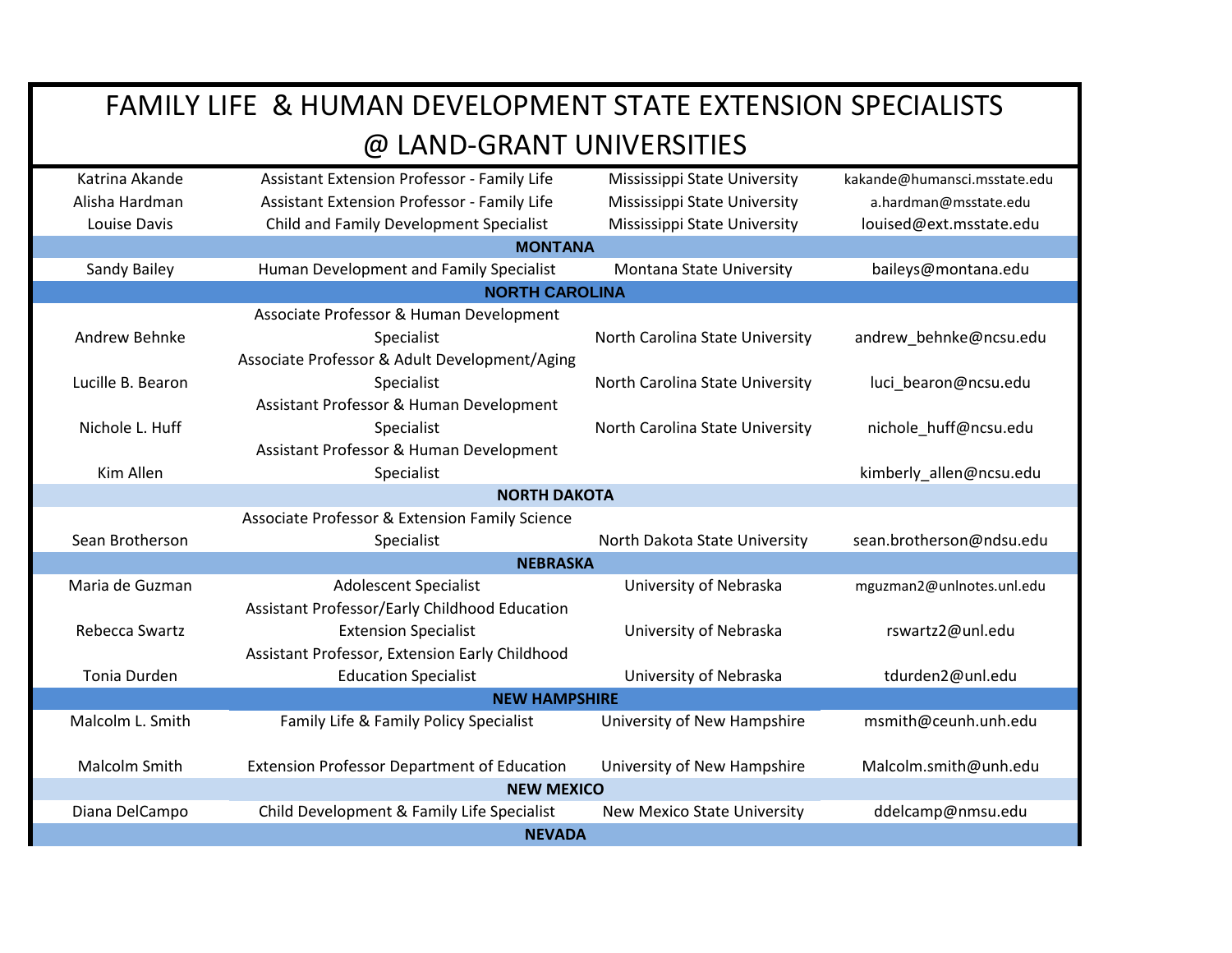| Katrina Akande                                 | Assistant Extension Professor - Family Life        | Mississippi State University       | kakande@humansci.msstate.edu |  |
|------------------------------------------------|----------------------------------------------------|------------------------------------|------------------------------|--|
| Alisha Hardman                                 | <b>Assistant Extension Professor - Family Life</b> | Mississippi State University       | a.hardman@msstate.edu        |  |
| Louise Davis                                   | Child and Family Development Specialist            | Mississippi State University       | louised@ext.msstate.edu      |  |
|                                                | <b>MONTANA</b>                                     |                                    |                              |  |
| Sandy Bailey                                   | Human Development and Family Specialist            | Montana State University           | baileys@montana.edu          |  |
|                                                | <b>NORTH CAROLINA</b>                              |                                    |                              |  |
|                                                | Associate Professor & Human Development            |                                    |                              |  |
| Andrew Behnke                                  | Specialist                                         | North Carolina State University    | andrew_behnke@ncsu.edu       |  |
|                                                | Associate Professor & Adult Development/Aging      |                                    |                              |  |
| Lucille B. Bearon                              | Specialist                                         | North Carolina State University    | luci_bearon@ncsu.edu         |  |
|                                                | Assistant Professor & Human Development            |                                    |                              |  |
| Nichole L. Huff                                | Specialist                                         | North Carolina State University    | nichole huff@ncsu.edu        |  |
|                                                | Assistant Professor & Human Development            |                                    |                              |  |
| Kim Allen                                      | Specialist                                         |                                    | kimberly_allen@ncsu.edu      |  |
| <b>NORTH DAKOTA</b>                            |                                                    |                                    |                              |  |
| Associate Professor & Extension Family Science |                                                    |                                    |                              |  |
| Sean Brotherson                                | Specialist                                         | North Dakota State University      | sean.brotherson@ndsu.edu     |  |
| <b>NEBRASKA</b>                                |                                                    |                                    |                              |  |
| Maria de Guzman                                | <b>Adolescent Specialist</b>                       | University of Nebraska             | mguzman2@unlnotes.unl.edu    |  |
|                                                | Assistant Professor/Early Childhood Education      |                                    |                              |  |
| Rebecca Swartz                                 | <b>Extension Specialist</b>                        | University of Nebraska             | rswartz2@unl.edu             |  |
|                                                | Assistant Professor, Extension Early Childhood     |                                    |                              |  |
| Tonia Durden                                   | <b>Education Specialist</b>                        | University of Nebraska             | tdurden2@unl.edu             |  |
| <b>NEW HAMPSHIRE</b>                           |                                                    |                                    |                              |  |
| Malcolm L. Smith                               | Family Life & Family Policy Specialist             | University of New Hampshire        | msmith@ceunh.unh.edu         |  |
|                                                |                                                    |                                    |                              |  |
| <b>Malcolm Smith</b>                           | <b>Extension Professor Department of Education</b> | University of New Hampshire        | Malcolm.smith@unh.edu        |  |
|                                                | <b>NEW MEXICO</b>                                  |                                    |                              |  |
| Diana DelCampo                                 | Child Development & Family Life Specialist         | <b>New Mexico State University</b> | ddelcamp@nmsu.edu            |  |
| <b>NEVADA</b>                                  |                                                    |                                    |                              |  |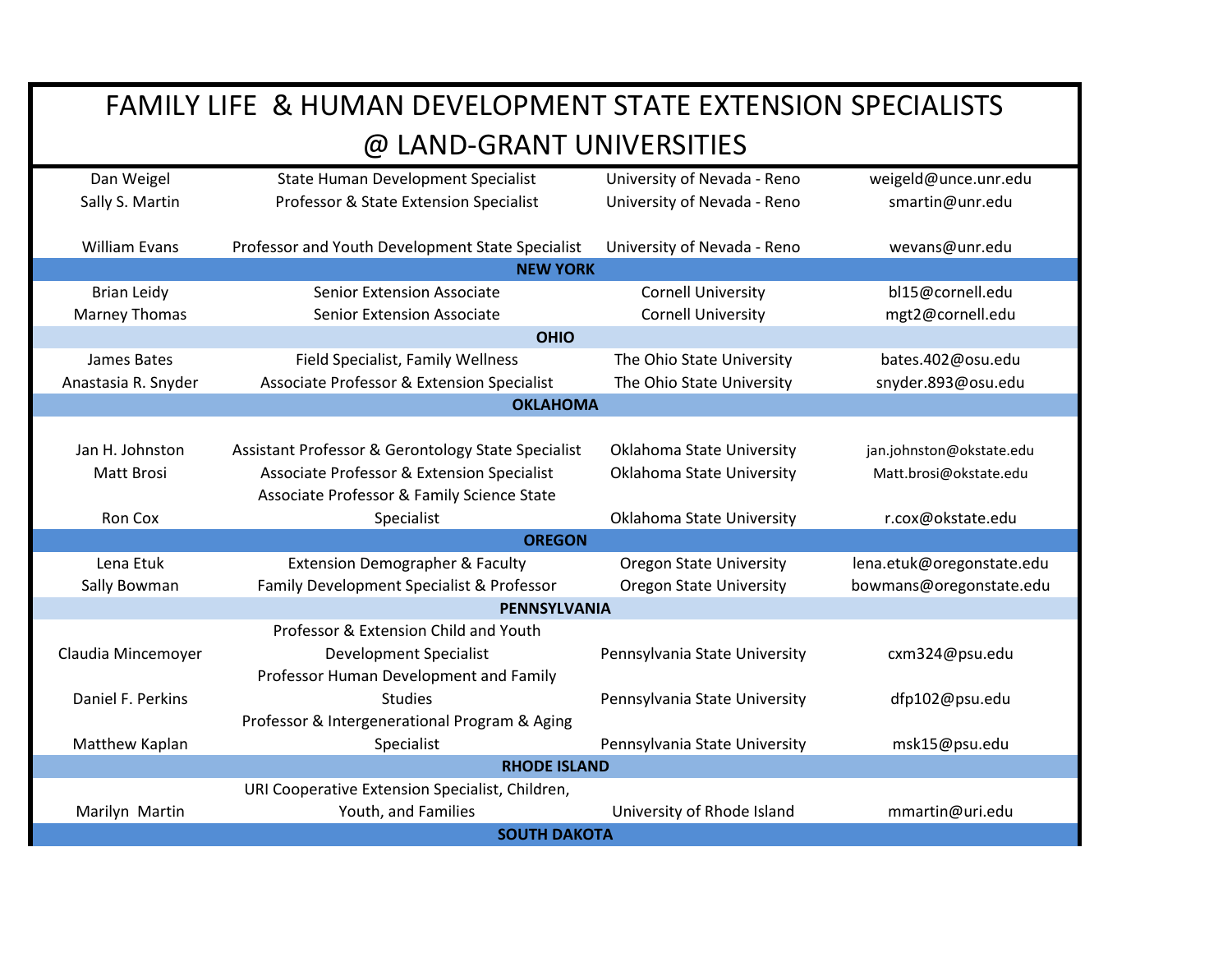| Dan Weigel           | <b>State Human Development Specialist</b>          | University of Nevada - Reno    | weigeld@unce.unr.edu      |  |
|----------------------|----------------------------------------------------|--------------------------------|---------------------------|--|
| Sally S. Martin      | Professor & State Extension Specialist             | University of Nevada - Reno    | smartin@unr.edu           |  |
|                      |                                                    |                                |                           |  |
| <b>William Evans</b> | Professor and Youth Development State Specialist   | University of Nevada - Reno    | wevans@unr.edu            |  |
|                      | <b>NEW YORK</b>                                    |                                |                           |  |
| <b>Brian Leidy</b>   | <b>Senior Extension Associate</b>                  | <b>Cornell University</b>      | bl15@cornell.edu          |  |
| <b>Marney Thomas</b> | <b>Senior Extension Associate</b>                  | <b>Cornell University</b>      | mgt2@cornell.edu          |  |
|                      | <b>OHIO</b>                                        |                                |                           |  |
| James Bates          | Field Specialist, Family Wellness                  | The Ohio State University      | bates.402@osu.edu         |  |
| Anastasia R. Snyder  | Associate Professor & Extension Specialist         | The Ohio State University      | snyder.893@osu.edu        |  |
|                      | <b>OKLAHOMA</b>                                    |                                |                           |  |
|                      |                                                    |                                |                           |  |
| Jan H. Johnston      | Assistant Professor & Gerontology State Specialist | Oklahoma State University      | jan.johnston@okstate.edu  |  |
| Matt Brosi           | Associate Professor & Extension Specialist         | Oklahoma State University      | Matt.brosi@okstate.edu    |  |
|                      | Associate Professor & Family Science State         |                                |                           |  |
| Ron Cox              | Specialist                                         | Oklahoma State University      | r.cox@okstate.edu         |  |
| <b>OREGON</b>        |                                                    |                                |                           |  |
| Lena Etuk            | <b>Extension Demographer &amp; Faculty</b>         | <b>Oregon State University</b> | lena.etuk@oregonstate.edu |  |
| Sally Bowman         | Family Development Specialist & Professor          | <b>Oregon State University</b> | bowmans@oregonstate.edu   |  |
| <b>PENNSYLVANIA</b>  |                                                    |                                |                           |  |
|                      | Professor & Extension Child and Youth              |                                |                           |  |
| Claudia Mincemoyer   | <b>Development Specialist</b>                      | Pennsylvania State University  | cxm324@psu.edu            |  |
|                      | Professor Human Development and Family             |                                |                           |  |
|                      |                                                    |                                |                           |  |
| Daniel F. Perkins    | <b>Studies</b>                                     | Pennsylvania State University  | dfp102@psu.edu            |  |
|                      | Professor & Intergenerational Program & Aging      |                                |                           |  |
| Matthew Kaplan       | Specialist                                         | Pennsylvania State University  | msk15@psu.edu             |  |
|                      | <b>RHODE ISLAND</b>                                |                                |                           |  |
|                      | URI Cooperative Extension Specialist, Children,    |                                |                           |  |
| Marilyn Martin       | Youth, and Families                                | University of Rhode Island     | mmartin@uri.edu           |  |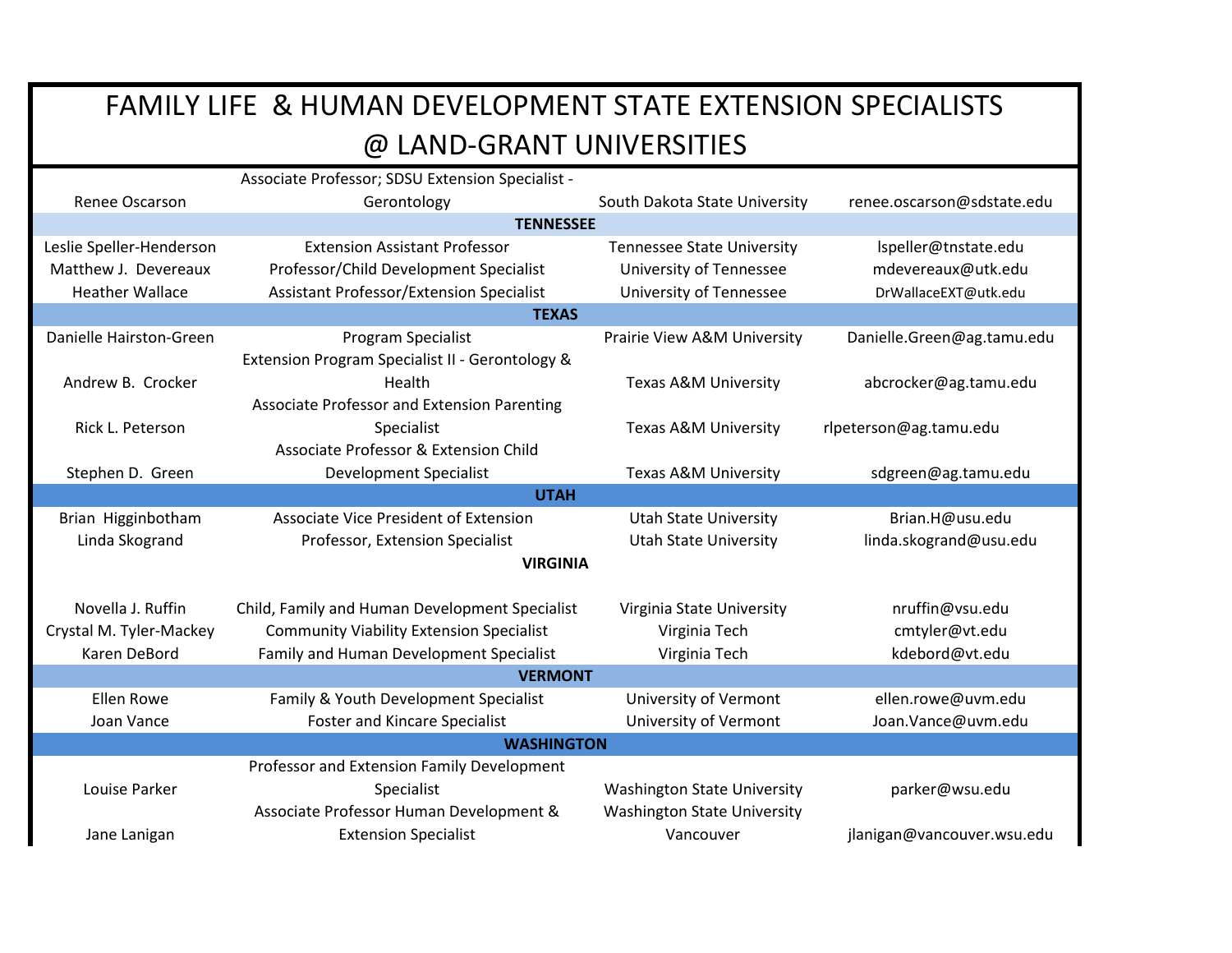|                                            | Associate Professor; SDSU Extension Specialist - |                                    |                            |  |
|--------------------------------------------|--------------------------------------------------|------------------------------------|----------------------------|--|
| Renee Oscarson                             | Gerontology                                      | South Dakota State University      | renee.oscarson@sdstate.edu |  |
|                                            | <b>TENNESSEE</b>                                 |                                    |                            |  |
| Leslie Speller-Henderson                   | <b>Extension Assistant Professor</b>             | <b>Tennessee State University</b>  | Ispeller@tnstate.edu       |  |
| Matthew J. Devereaux                       | Professor/Child Development Specialist           | University of Tennessee            | mdevereaux@utk.edu         |  |
| <b>Heather Wallace</b>                     | <b>Assistant Professor/Extension Specialist</b>  | <b>University of Tennessee</b>     | DrWallaceEXT@utk.edu       |  |
|                                            | <b>TEXAS</b>                                     |                                    |                            |  |
| Danielle Hairston-Green                    | Program Specialist                               | Prairie View A&M University        | Danielle.Green@ag.tamu.edu |  |
|                                            | Extension Program Specialist II - Gerontology &  |                                    |                            |  |
| Andrew B. Crocker                          | Health                                           | Texas A&M University               | abcrocker@ag.tamu.edu      |  |
|                                            | Associate Professor and Extension Parenting      |                                    |                            |  |
| Rick L. Peterson                           | Specialist                                       | Texas A&M University               | rlpeterson@ag.tamu.edu     |  |
|                                            | Associate Professor & Extension Child            |                                    |                            |  |
| Stephen D. Green                           | <b>Development Specialist</b>                    | Texas A&M University               | sdgreen@ag.tamu.edu        |  |
|                                            | <b>UTAH</b>                                      |                                    |                            |  |
| Brian Higginbotham                         | Associate Vice President of Extension            | <b>Utah State University</b>       | Brian.H@usu.edu            |  |
| Linda Skogrand                             | Professor, Extension Specialist                  | <b>Utah State University</b>       | linda.skogrand@usu.edu     |  |
| <b>VIRGINIA</b>                            |                                                  |                                    |                            |  |
|                                            |                                                  |                                    |                            |  |
| Novella J. Ruffin                          | Child, Family and Human Development Specialist   | Virginia State University          | nruffin@vsu.edu            |  |
| Crystal M. Tyler-Mackey                    | <b>Community Viability Extension Specialist</b>  | Virginia Tech                      | cmtyler@vt.edu             |  |
| Karen DeBord                               | Family and Human Development Specialist          | Virginia Tech                      | kdebord@vt.edu             |  |
| <b>VERMONT</b>                             |                                                  |                                    |                            |  |
| <b>Ellen Rowe</b>                          | Family & Youth Development Specialist            | University of Vermont              | ellen.rowe@uvm.edu         |  |
| Joan Vance                                 | <b>Foster and Kincare Specialist</b>             | University of Vermont              | Joan.Vance@uvm.edu         |  |
| <b>WASHINGTON</b>                          |                                                  |                                    |                            |  |
| Professor and Extension Family Development |                                                  |                                    |                            |  |
| Louise Parker                              | Specialist                                       | <b>Washington State University</b> | parker@wsu.edu             |  |
|                                            | Associate Professor Human Development &          | <b>Washington State University</b> |                            |  |
| Jane Lanigan                               | <b>Extension Specialist</b>                      | Vancouver                          | jlanigan@vancouver.wsu.edu |  |